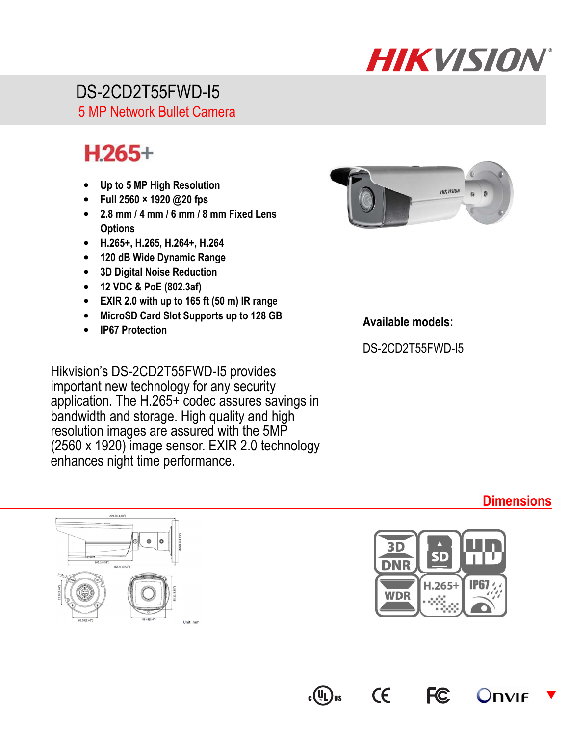# **HIKVISION**

## DS-2CD2T55FWD-I5 5 MP Network Bullet Camera

# $H.265+$

- **Up to 5 MP High Resolution**
- **Full 2560 × 1920 @20 fps**
- **2.8 mm / 4 mm / 6 mm / 8 mm Fixed Lens Options**
- **H.265+, H.265, H.264+, H.264**
- **120 dB Wide Dynamic Range**
- **3D Digital Noise Reduction**
- **12 VDC & PoE (802.3af)**
- **EXIR 2.0 with up to 165 ft (50 m) IR range**
- **MicroSD Card Slot Supports up to 128 GB**
- **IP67 Protection**

Hikvision's DS-2CD2T55FWD-I5 provides important new technology for any security application. The H.265+ codec assures savings in bandwidth and storage. High quality and high resolution images are assured with the 5MP (2560 x 1920) image sensor. EXIR 2.0 technology enhances night time performance.



#### **Available models:**

DS-2CD2T55FWD-I5









 $\epsilon$